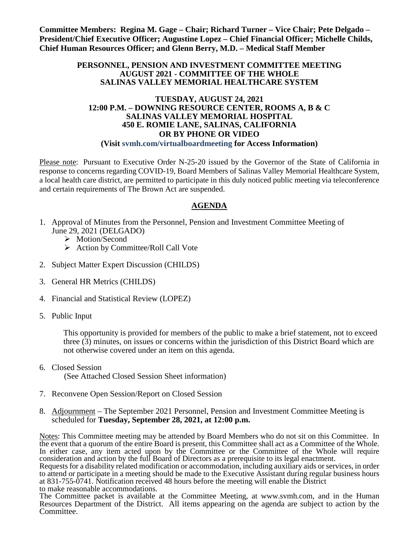**Committee Members: Regina M. Gage – Chair; Richard Turner – Vice Chair; Pete Delgado – President/Chief Executive Officer; Augustine Lopez – Chief Financial Officer; Michelle Childs, Chief Human Resources Officer; and Glenn Berry, M.D. – Medical Staff Member**

#### **PERSONNEL, PENSION AND INVESTMENT COMMITTEE MEETING AUGUST 2021 - COMMITTEE OF THE WHOLE SALINAS VALLEY MEMORIAL HEALTHCARE SYSTEM**

#### **TUESDAY, AUGUST 24, 2021 12:00 P.M. – DOWNING RESOURCE CENTER, ROOMS A, B & C SALINAS VALLEY MEMORIAL HOSPITAL 450 E. ROMIE LANE, SALINAS, CALIFORNIA OR BY PHONE OR VIDEO (Visit svmh.com/virtualboardmeeting for Access Information)**

Please note: Pursuant to Executive Order N-25-20 issued by the Governor of the State of California in response to concerns regarding COVID-19, Board Members of Salinas Valley Memorial Healthcare System, a local health care district, are permitted to participate in this duly noticed public meeting via teleconference and certain requirements of The Brown Act are suspended.

# **AGENDA**

- 1. Approval of Minutes from the Personnel, Pension and Investment Committee Meeting of June 29, 2021 (DELGADO)
	- > Motion/Second
	- $\triangleright$  Action by Committee/Roll Call Vote
- 2. Subject Matter Expert Discussion (CHILDS)
- 3. General HR Metrics (CHILDS)
- 4. Financial and Statistical Review (LOPEZ)
- 5. Public Input

This opportunity is provided for members of the public to make a brief statement, not to exceed three (3) minutes, on issues or concerns within the jurisdiction of this District Board which are not otherwise covered under an item on this agenda.

- 6. Closed Session (See Attached Closed Session Sheet information)
- 7. Reconvene Open Session/Report on Closed Session
- 8. Adjournment The September 2021 Personnel, Pension and Investment Committee Meeting is scheduled for **Tuesday, September 28, 2021, at 12:00 p.m.**

Notes: This Committee meeting may be attended by Board Members who do not sit on this Committee. In the event that a quorum of the entire Board is present, this Committee shall act as a Committee of the Whole. In either case, any item acted upon by the Committee or the Committee of the Whole will require consideration and action by the full Board of Directors as a prerequisite to its legal enactment.

Requests for a disability related modification or accommodation, including auxiliary aids or services, in order to attend or participate in a meeting should be made to the Executive Assistant during regular business hours at 831-755-0741. Notification received 48 hours before the meeting will enable the District to make reasonable accommodations.

The Committee packet is available at the Committee Meeting, at [www.svmh.com,](http://www.svmh.com/) and in the Human Resources Department of the District. All items appearing on the agenda are subject to action by the Committee.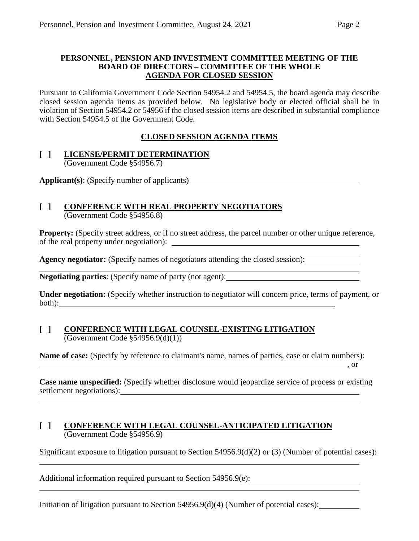#### **PERSONNEL, PENSION AND INVESTMENT COMMITTEE MEETING OF THE BOARD OF DIRECTORS – COMMITTEE OF THE WHOLE AGENDA FOR CLOSED SESSION**

Pursuant to California Government Code Section 54954.2 and 54954.5, the board agenda may describe closed session agenda items as provided below. No legislative body or elected official shall be in violation of Section 54954.2 or 54956 if the closed session items are described in substantial compliance with Section 54954.5 of the Government Code.

# **CLOSED SESSION AGENDA ITEMS**

#### **[ ] LICENSE/PERMIT DETERMINATION** (Government Code §54956.7)

**Applicant(s)**: (Specify number of applicants)

#### **[ ] CONFERENCE WITH REAL PROPERTY NEGOTIATORS** (Government Code §54956.8)

**Property:** (Specify street address, or if no street address, the parcel number or other unique reference, of the real property under negotiation):

**Agency negotiator:** (Specify names of negotiators attending the closed session):

**Negotiating parties**: (Specify name of party (not agent):

**Under negotiation:** (Specify whether instruction to negotiator will concern price, terms of payment, or both):

# **[ ] CONFERENCE WITH LEGAL COUNSEL-EXISTING LITIGATION** (Government Code §54956.9(d)(1))

**Name of case:** (Specify by reference to claimant's name, names of parties, case or claim numbers): , or

**Case name unspecified:** (Specify whether disclosure would jeopardize service of process or existing settlement negotiations):

# **[ ] CONFERENCE WITH LEGAL COUNSEL-ANTICIPATED LITIGATION** (Government Code §54956.9)

Significant exposure to litigation pursuant to Section 54956.9(d)(2) or (3) (Number of potential cases):

Additional information required pursuant to Section 54956.9(e):

Initiation of litigation pursuant to Section 54956.9(d)(4) (Number of potential cases):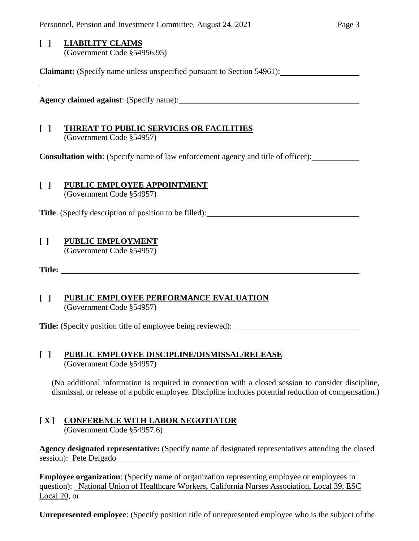# **[ ] LIABILITY CLAIMS**

(Government Code §54956.95)

**Claimant:** (Specify name unless unspecified pursuant to Section 54961):

**Agency claimed against**: (Specify name):

### **[ ] THREAT TO PUBLIC SERVICES OR FACILITIES** (Government Code §54957)

**Consultation with**: (Specify name of law enforcement agency and title of officer):

#### **[ ] PUBLIC EMPLOYEE APPOINTMENT** (Government Code §54957)

**Title**: (Specify description of position to be filled):

# **[ ] PUBLIC EMPLOYMENT**

(Government Code §54957)

**Title:** 

# **[ ] PUBLIC EMPLOYEE PERFORMANCE EVALUATION** (Government Code §54957)

**Title:** (Specify position title of employee being reviewed):

# **[ ] PUBLIC EMPLOYEE DISCIPLINE/DISMISSAL/RELEASE** (Government Code §54957)

(No additional information is required in connection with a closed session to consider discipline, dismissal, or release of a public employee. Discipline includes potential reduction of compensation.)

# **[ X ] CONFERENCE WITH LABOR NEGOTIATOR**

(Government Code §54957.6)

**Agency designated representative:** (Specify name of designated representatives attending the closed session): Pete Delgado

**Employee organization**: (Specify name of organization representing employee or employees in question): National Union of Healthcare Workers, California Nurses Association, Local 39, ESC Local 20, or

**Unrepresented employee**: (Specify position title of unrepresented employee who is the subject of the